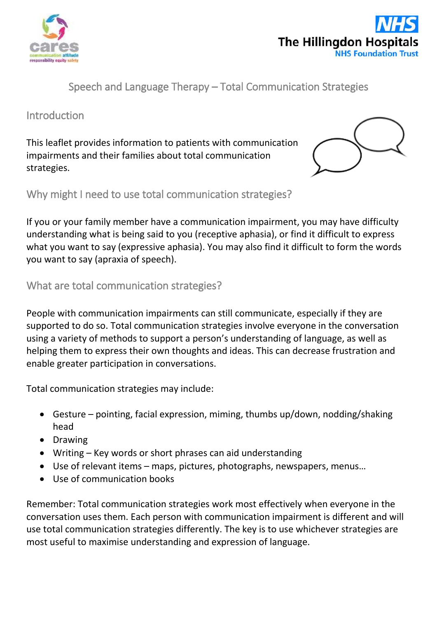



Speech and Language Therapy – Total Communication Strategies

## Introduction

This leaflet provides information to patients with communication impairments and their families about total communication strategies.



Why might I need to use total communication strategies?

If you or your family member have a communication impairment, you may have difficulty understanding what is being said to you (receptive aphasia), or find it difficult to express what you want to say (expressive aphasia). You may also find it difficult to form the words you want to say (apraxia of speech).

## What are total communication strategies?

People with communication impairments can still communicate, especially if they are supported to do so. Total communication strategies involve everyone in the conversation using a variety of methods to support a person's understanding of language, as well as helping them to express their own thoughts and ideas. This can decrease frustration and enable greater participation in conversations.

Total communication strategies may include:

- Gesture pointing, facial expression, miming, thumbs up/down, nodding/shaking head
- **•** Drawing
- Writing Key words or short phrases can aid understanding
- Use of relevant items maps, pictures, photographs, newspapers, menus…
- Use of communication books

Remember: Total communication strategies work most effectively when everyone in the conversation uses them. Each person with communication impairment is different and will use total communication strategies differently. The key is to use whichever strategies are most useful to maximise understanding and expression of language.